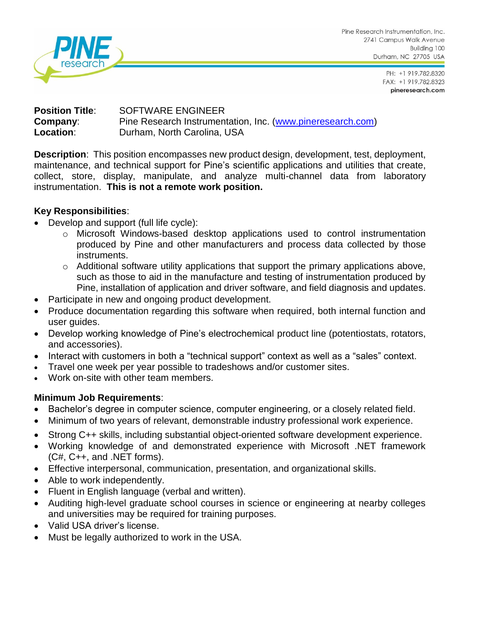

Pine Research Instrumentation, Inc. 2741 Campus Walk Avenue Building 100 Durham, NC 27705 USA

> PH: +1 919.782.8320 FAX: +1 919.782.8323 pineresearch.com

# **Position Title**: SOFTWARE ENGINEER **Company:** Pine Research Instrumentation, Inc. [\(www.pineresearch.com\)](http://www.pineresearch.com/) **Location:** Durham, North Carolina, USA

**Description**: This position encompasses new product design, development, test, deployment, maintenance, and technical support for Pine's scientific applications and utilities that create, collect, store, display, manipulate, and analyze multi-channel data from laboratory instrumentation. **This is not a remote work position.**

# **Key Responsibilities**:

- Develop and support (full life cycle):
	- o Microsoft Windows-based desktop applications used to control instrumentation produced by Pine and other manufacturers and process data collected by those instruments.
	- o Additional software utility applications that support the primary applications above, such as those to aid in the manufacture and testing of instrumentation produced by Pine, installation of application and driver software, and field diagnosis and updates.
- Participate in new and ongoing product development.
- Produce documentation regarding this software when required, both internal function and user guides.
- Develop working knowledge of Pine's electrochemical product line (potentiostats, rotators, and accessories).
- Interact with customers in both a "technical support" context as well as a "sales" context.
- Travel one week per year possible to tradeshows and/or customer sites.
- Work on-site with other team members.

#### **Minimum Job Requirements**:

- Bachelor's degree in computer science, computer engineering, or a closely related field.
- Minimum of two years of relevant, demonstrable industry professional work experience.
- Strong C++ skills, including substantial object-oriented software development experience.
- Working knowledge of and demonstrated experience with Microsoft .NET framework (C#, C++, and .NET forms).
- Effective interpersonal, communication, presentation, and organizational skills.
- Able to work independently.
- Fluent in English language (verbal and written).
- Auditing high-level graduate school courses in science or engineering at nearby colleges and universities may be required for training purposes.
- Valid USA driver's license.
- Must be legally authorized to work in the USA.